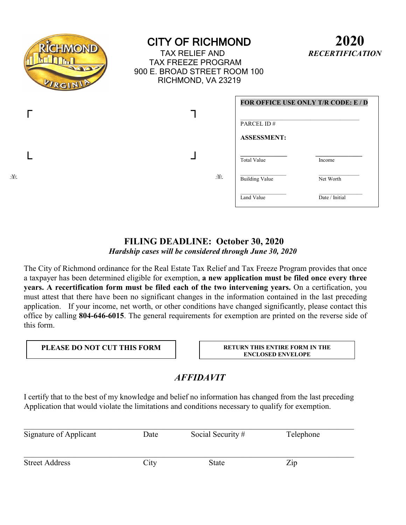| RÎCHMOND<br>$\Omega$<br>VIRGINIA | <b>CITY OF RICHMOND</b><br><b>TAX RELIEF AND</b><br><b>TAX FREEZE PROGRAM</b><br>900 E. BROAD STREET ROOM 100<br>RICHMOND, VA 23219 |                                     | 2020<br><b>RECERTIFICATION</b>      |
|----------------------------------|-------------------------------------------------------------------------------------------------------------------------------------|-------------------------------------|-------------------------------------|
|                                  |                                                                                                                                     | PARCEL ID#<br><b>ASSESSMENT:</b>    | FOR OFFICE USE ONLY T/R CODE: E / D |
| 羊                                | 羊                                                                                                                                   | <b>Total Value</b>                  | Income                              |
|                                  |                                                                                                                                     | <b>Building Value</b><br>Land Value | Net Worth<br>Date / Initial         |

## FILING DEADLINE: October 30, 2020

Hardship cases will be considered through June 30, 2020

The City of Richmond ordinance for the Real Estate Tax Relief and Tax Freeze Program provides that once a taxpayer has been determined eligible for exemption, a new application must be filed once every three years. A recertification form must be filed each of the two intervening years. On a certification, you must attest that there have been no significant changes in the information contained in the last preceding application. If your income, net worth, or other conditions have changed significantly, please contact this office by calling 804-646-6015. The general requirements for exemption are printed on the reverse side of this form.

#### PLEASE DO NOT CUT THIS FORM

RETURN THIS ENTIRE FORM IN THE **ENCLOSED ENVELOPE** 

### **AFFIDAVIT**

I certify that to the best of my knowledge and belief no information has changed from the last preceding Application that would violate the limitations and conditions necessary to qualify for exemption.

| Signature of Applicant | Date | Social Security # | Telephone |
|------------------------|------|-------------------|-----------|
| <b>Street Address</b>  | City | State             | Zip       |